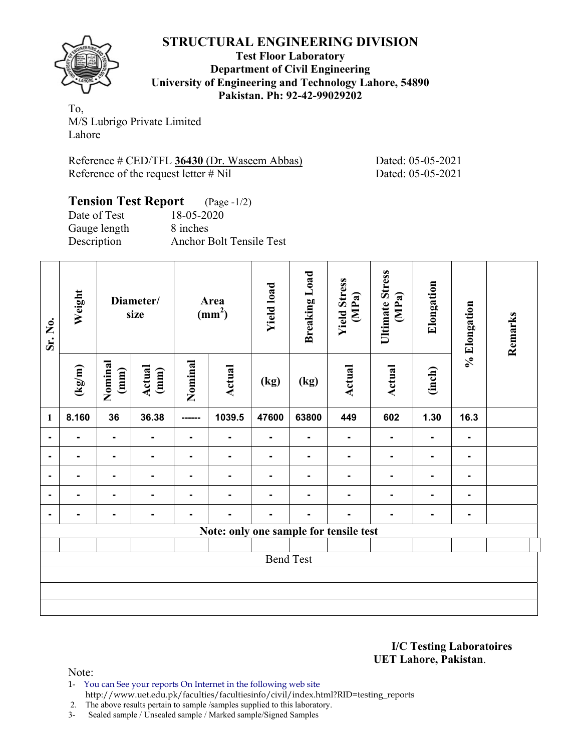

**Test Floor Laboratory Department of Civil Engineering University of Engineering and Technology Lahore, 54890 Pakistan. Ph: 92-42-99029202** 

To, M/S Lubrigo Private Limited Lahore

Reference # CED/TFL **36430** (Dr. Waseem Abbas) Dated: 05-05-2021 Reference of the request letter # Nil Dated: 05-05-2021

#### **Tension Test Report** (Page -1/2) Date of Test 18-05-2020

Gauge length 8 inches

Description Anchor Bolt Tensile Test

| Sr. No.        | Weight<br>Diameter/<br>size |                 | Area<br>(mm <sup>2</sup> ) |                | <b>Yield load</b>                      | <b>Breaking Load</b> | <b>Yield Stress</b><br>(MPa) | <b>Ultimate Stress</b><br>(MPa) | Elongation    | % Elongation   | Remarks        |  |
|----------------|-----------------------------|-----------------|----------------------------|----------------|----------------------------------------|----------------------|------------------------------|---------------------------------|---------------|----------------|----------------|--|
|                | $(\text{kg/m})$             | Nominal<br>(mm) | Actual<br>(mm)             | Nominal        | Actual                                 | (kg)                 | (kg)                         | <b>Actual</b>                   | <b>Actual</b> | (inch)         |                |  |
| 1              | 8.160                       | 36              | 36.38                      |                | 1039.5                                 | 47600                | 63800                        | 449                             | 602           | 1.30           | 16.3           |  |
| $\blacksquare$ | ۰.                          | $\blacksquare$  | $\blacksquare$             | $\blacksquare$ | $\blacksquare$                         | $\blacksquare$       | $\blacksquare$               | $\blacksquare$                  | ۰             | $\blacksquare$ | ٠              |  |
| $\blacksquare$ | ۰.                          | $\blacksquare$  | $\blacksquare$             | ٠              | $\blacksquare$                         | $\blacksquare$       | $\blacksquare$               | $\blacksquare$                  | ۰             | $\blacksquare$ | ٠              |  |
| $\blacksquare$ | ۰.                          | $\blacksquare$  | Ξ.                         | $\blacksquare$ | $\blacksquare$                         | $\blacksquare$       | ٠                            | ٠                               | ۰             | $\blacksquare$ | ٠              |  |
| $\blacksquare$ | ۰.                          | $\blacksquare$  | ۰                          | $\blacksquare$ | $\blacksquare$                         | $\blacksquare$       | $\blacksquare$               | $\blacksquare$                  | ۰             | ۰.             | $\blacksquare$ |  |
| $\blacksquare$ | ٠                           | $\blacksquare$  | $\blacksquare$             | ٠              | ٠                                      | $\blacksquare$       | ۰                            | ٠                               | ۰             | $\blacksquare$ | ۰              |  |
|                |                             |                 |                            |                | Note: only one sample for tensile test |                      |                              |                                 |               |                |                |  |
|                |                             |                 |                            |                |                                        |                      |                              |                                 |               |                |                |  |
|                |                             |                 |                            |                |                                        | <b>Bend Test</b>     |                              |                                 |               |                |                |  |
|                |                             |                 |                            |                |                                        |                      |                              |                                 |               |                |                |  |
|                |                             |                 |                            |                |                                        |                      |                              |                                 |               |                |                |  |
|                |                             |                 |                            |                |                                        |                      |                              |                                 |               |                |                |  |

**I/C Testing Laboratoires UET Lahore, Pakistan**.

Note:

- 1- You can See your reports On Internet in the following web site http://www.uet.edu.pk/faculties/facultiesinfo/civil/index.html?RID=testing\_reports
- 2. The above results pertain to sample /samples supplied to this laboratory.
- 3- Sealed sample / Unsealed sample / Marked sample/Signed Samples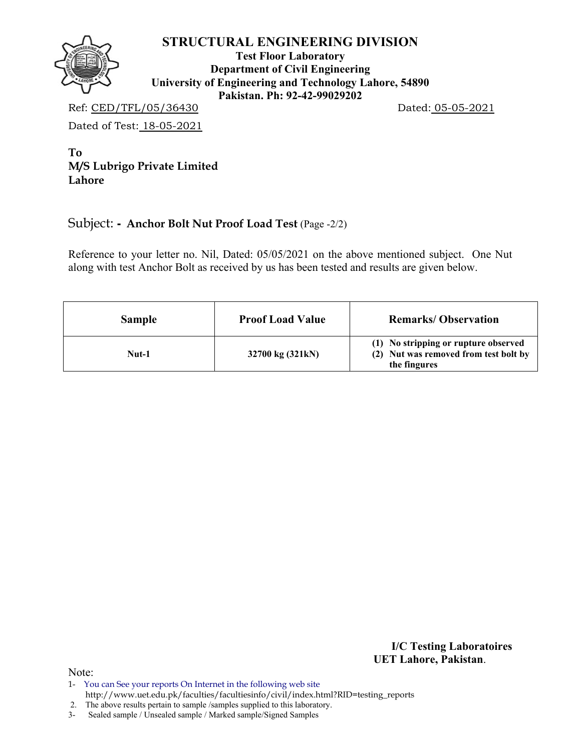

**Test Floor Laboratory Department of Civil Engineering University of Engineering and Technology Lahore, 54890 Pakistan. Ph: 92-42-99029202** 

Ref: CED/TFL/05/36430 Dated: 05-05-2021

Dated of Test: 18-05-2021

**To M/S Lubrigo Private Limited Lahore** 

# Subject: **- Anchor Bolt Nut Proof Load Test** (Page -2/2)

Reference to your letter no. Nil, Dated: 05/05/2021 on the above mentioned subject. One Nut along with test Anchor Bolt as received by us has been tested and results are given below.

| <b>Sample</b> | <b>Proof Load Value</b> | <b>Remarks/Observation</b>                                                                    |
|---------------|-------------------------|-----------------------------------------------------------------------------------------------|
| Nut-1         | 32700 kg (321kN)        | (1) No stripping or rupture observed<br>(2) Nut was removed from test bolt by<br>the fingures |

**I/C Testing Laboratoires UET Lahore, Pakistan**.

Note:

1- You can See your reports On Internet in the following web site http://www.uet.edu.pk/faculties/facultiesinfo/civil/index.html?RID=testing\_reports

2. The above results pertain to sample /samples supplied to this laboratory.

3- Sealed sample / Unsealed sample / Marked sample/Signed Samples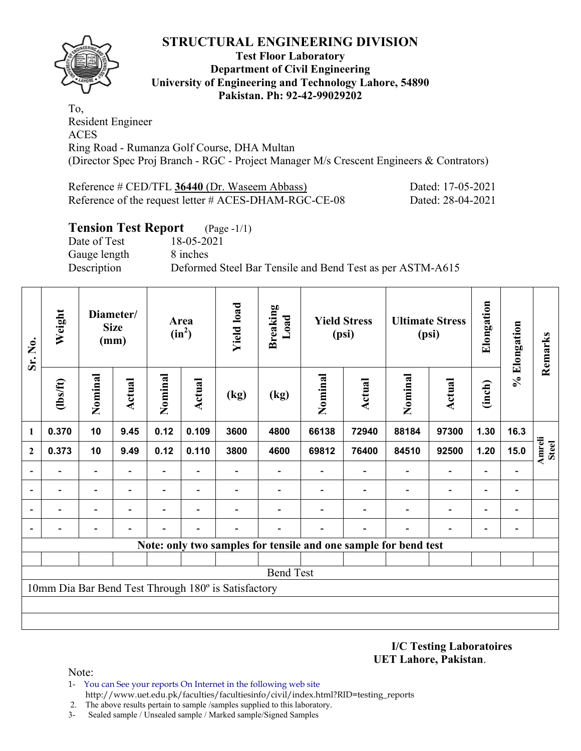

#### **Test Floor Laboratory Department of Civil Engineering University of Engineering and Technology Lahore, 54890 Pakistan. Ph: 92-42-99029202**

To, Resident Engineer ACES Ring Road - Rumanza Golf Course, DHA Multan (Director Spec Proj Branch - RGC - Project Manager M/s Crescent Engineers & Contrators)

| Reference # CED/TFL 36440 (Dr. Waseem Abbass)         | Dated: 17-05-2021 |
|-------------------------------------------------------|-------------------|
| Reference of the request letter # ACES-DHAM-RGC-CE-08 | Dated: 28-04-2021 |

## **Tension Test Report** (Page -1/1)

Date of Test 18-05-2021 Gauge length 8 inches

Description Deformed Steel Bar Tensile and Bend Test as per ASTM-A615

| Sr. No.        | Weight           | Diameter/<br><b>Size</b><br>(mm) |        | Area<br>$(in^2)$ |        |                                                     |      | <b>Yield load</b> | <b>Breaking</b><br>Load                                         | <b>Yield Stress</b><br>(psi) |                          |                          | <b>Ultimate Stress</b><br>(psi) | Elongation             | % Elongation | Remarks |
|----------------|------------------|----------------------------------|--------|------------------|--------|-----------------------------------------------------|------|-------------------|-----------------------------------------------------------------|------------------------------|--------------------------|--------------------------|---------------------------------|------------------------|--------------|---------|
|                | $\frac{2}{10}$   | Nominal                          | Actual | Nominal          | Actual | (kg)                                                | (kg) | Nominal           | Actual                                                          | Nominal                      | <b>Actual</b>            | (inch)                   |                                 |                        |              |         |
| 1              | 0.370            | 10                               | 9.45   | 0.12             | 0.109  | 3600                                                | 4800 | 66138             | 72940                                                           | 88184                        | 97300                    | 1.30                     | 16.3                            |                        |              |         |
| $\mathbf{2}$   | 0.373            | 10                               | 9.49   | 0.12             | 0.110  | 3800                                                | 4600 | 69812             | 76400                                                           | 84510                        | 92500                    | 1.20                     | 15.0                            | Amreli<br><b>Steel</b> |              |         |
|                |                  | $\overline{\phantom{0}}$         |        |                  |        |                                                     |      |                   |                                                                 |                              | $\overline{\phantom{a}}$ |                          |                                 |                        |              |         |
|                |                  |                                  |        |                  |        |                                                     |      |                   |                                                                 |                              |                          |                          | $\overline{a}$                  |                        |              |         |
| $\overline{a}$ |                  | -                                |        |                  |        |                                                     |      |                   |                                                                 |                              | $\overline{\phantom{0}}$ | $\overline{\phantom{0}}$ | -                               |                        |              |         |
| $\overline{a}$ |                  |                                  |        |                  |        |                                                     |      |                   |                                                                 |                              |                          |                          | -                               |                        |              |         |
|                |                  |                                  |        |                  |        |                                                     |      |                   | Note: only two samples for tensile and one sample for bend test |                              |                          |                          |                                 |                        |              |         |
|                |                  |                                  |        |                  |        |                                                     |      |                   |                                                                 |                              |                          |                          |                                 |                        |              |         |
|                | <b>Bend Test</b> |                                  |        |                  |        |                                                     |      |                   |                                                                 |                              |                          |                          |                                 |                        |              |         |
|                |                  |                                  |        |                  |        | 10mm Dia Bar Bend Test Through 180° is Satisfactory |      |                   |                                                                 |                              |                          |                          |                                 |                        |              |         |
|                |                  |                                  |        |                  |        |                                                     |      |                   |                                                                 |                              |                          |                          |                                 |                        |              |         |
|                |                  |                                  |        |                  |        |                                                     |      |                   |                                                                 |                              |                          |                          |                                 |                        |              |         |

**I/C Testing Laboratoires UET Lahore, Pakistan**.

Note:

- 1- You can See your reports On Internet in the following web site http://www.uet.edu.pk/faculties/facultiesinfo/civil/index.html?RID=testing\_reports
- 2. The above results pertain to sample /samples supplied to this laboratory.
- 3- Sealed sample / Unsealed sample / Marked sample/Signed Samples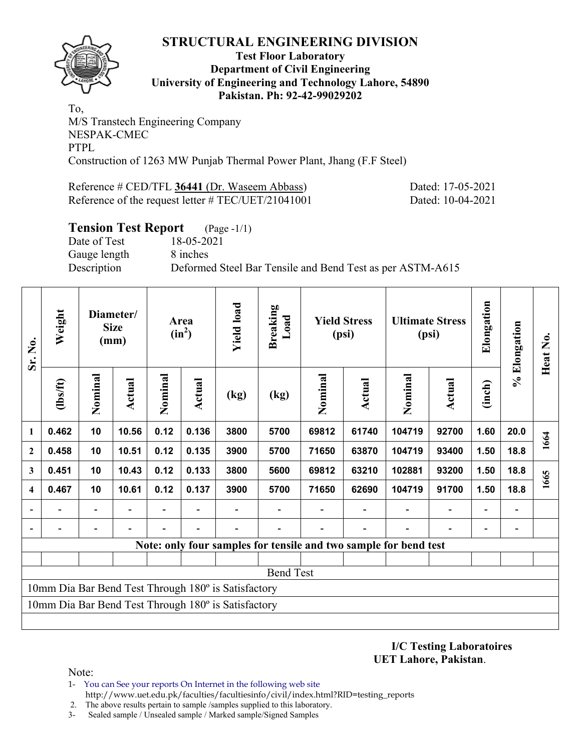

#### **Test Floor Laboratory Department of Civil Engineering University of Engineering and Technology Lahore, 54890 Pakistan. Ph: 92-42-99029202**

To, M/S Transtech Engineering Company NESPAK-CMEC PTPL Construction of 1263 MW Punjab Thermal Power Plant, Jhang (F.F Steel)

Reference # CED/TFL 36441 (Dr. Waseem Abbass) Dated: 17-05-2021

Reference of the request letter # TEC/UET/21041001 Dated: 10-04-2021

# **Tension Test Report** (Page -1/1) Date of Test 18-05-2021 Gauge length 8 inches Description Deformed Steel Bar Tensile and Bend Test as per ASTM-A615

| Sr. No.                                             | Weight           | Diameter/<br><b>Size</b><br>(mm) |        | Area<br>$(in^2)$ |               | <b>Yield load</b><br><b>Breaking</b><br>Load        |      | <b>Yield Stress</b><br>(psi) |                          | <b>Ultimate Stress</b><br>(psi)                                  |        | Elongation               | % Elongation | Heat No. |
|-----------------------------------------------------|------------------|----------------------------------|--------|------------------|---------------|-----------------------------------------------------|------|------------------------------|--------------------------|------------------------------------------------------------------|--------|--------------------------|--------------|----------|
|                                                     | (1bs/ft)         | Nominal                          | Actual | Nominal          | <b>Actual</b> | (kg)                                                | (kg) | Nominal                      | <b>Actual</b>            | Nominal                                                          | Actual | (inch)                   |              |          |
| $\mathbf{1}$                                        | 0.462            | 10                               | 10.56  | 0.12             | 0.136         | 3800                                                | 5700 | 69812                        | 61740                    | 104719                                                           | 92700  | 1.60                     | 20.0         | 1664     |
| $\boldsymbol{2}$                                    | 0.458            | 10                               | 10.51  | 0.12             | 0.135         | 3900                                                | 5700 | 71650                        | 63870                    | 104719                                                           | 93400  | 1.50                     | 18.8         |          |
| 3                                                   | 0.451            | 10                               | 10.43  | 0.12             | 0.133         | 3800                                                | 5600 | 69812                        | 63210                    | 102881                                                           | 93200  | 1.50                     | 18.8         | 1665     |
| $\overline{\mathbf{4}}$                             | 0.467            | 10                               | 10.61  | 0.12             | 0.137         | 3900                                                | 5700 | 71650                        | 62690                    | 104719                                                           | 91700  | 1.50                     | 18.8         |          |
|                                                     |                  | $\overline{\phantom{a}}$         |        |                  |               |                                                     |      |                              |                          |                                                                  |        | $\overline{\phantom{0}}$ |              |          |
|                                                     |                  | -                                |        |                  |               |                                                     |      |                              | $\overline{\phantom{0}}$ |                                                                  |        | ٠                        |              |          |
|                                                     |                  |                                  |        |                  |               |                                                     |      |                              |                          | Note: only four samples for tensile and two sample for bend test |        |                          |              |          |
|                                                     |                  |                                  |        |                  |               |                                                     |      |                              |                          |                                                                  |        |                          |              |          |
|                                                     | <b>Bend Test</b> |                                  |        |                  |               |                                                     |      |                              |                          |                                                                  |        |                          |              |          |
| 10mm Dia Bar Bend Test Through 180° is Satisfactory |                  |                                  |        |                  |               |                                                     |      |                              |                          |                                                                  |        |                          |              |          |
|                                                     |                  |                                  |        |                  |               | 10mm Dia Bar Bend Test Through 180° is Satisfactory |      |                              |                          |                                                                  |        |                          |              |          |
|                                                     |                  |                                  |        |                  |               |                                                     |      |                              |                          |                                                                  |        |                          |              |          |

**I/C Testing Laboratoires UET Lahore, Pakistan**.

Note:

- 1- You can See your reports On Internet in the following web site http://www.uet.edu.pk/faculties/facultiesinfo/civil/index.html?RID=testing\_reports
- 2. The above results pertain to sample /samples supplied to this laboratory.
- 3- Sealed sample / Unsealed sample / Marked sample/Signed Samples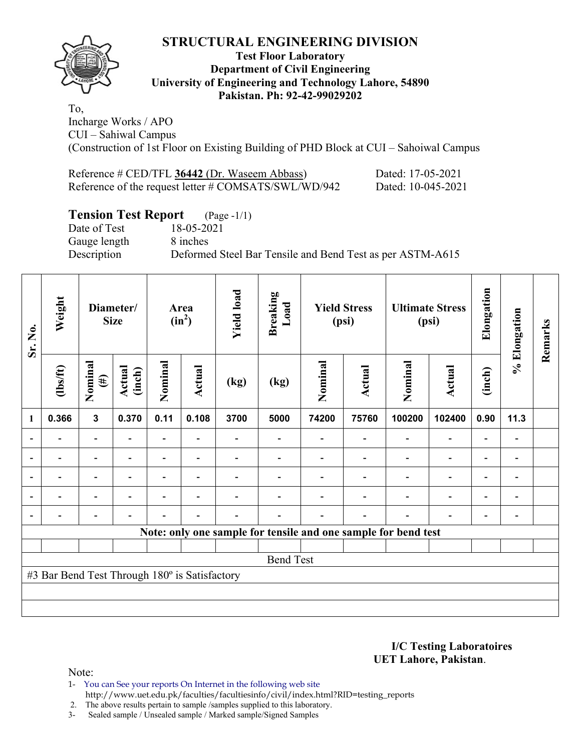

### **Test Floor Laboratory Department of Civil Engineering University of Engineering and Technology Lahore, 54890 Pakistan. Ph: 92-42-99029202**

To, Incharge Works / APO CUI – Sahiwal Campus (Construction of 1st Floor on Existing Building of PHD Block at CUI – Sahoiwal Campus

Reference # CED/TFL **36442** (Dr. Waseem Abbass) Dated: 17-05-2021 Reference of the request letter # COMSATS/SWL/WD/942 Dated: 10-045-2021

# **Tension Test Report** (Page -1/1)<br>Date of Test 18-05-2021

Date of Test Gauge length 8 inches

Description Deformed Steel Bar Tensile and Bend Test as per ASTM-A615

| Sr. No.        | Weight                                        | Diameter/<br><b>Size</b> |                  | Area<br>$(in^2)$         |        | <b>Yield load</b><br><b>Breaking</b><br>Load<br><b>Yield Stress</b><br>(psi) |                                                                | <b>Ultimate Stress</b><br>(psi) |               | Elongation | % Elongation             | Remarks                  |                              |  |
|----------------|-----------------------------------------------|--------------------------|------------------|--------------------------|--------|------------------------------------------------------------------------------|----------------------------------------------------------------|---------------------------------|---------------|------------|--------------------------|--------------------------|------------------------------|--|
|                | (1bs/ft)                                      | Nominal<br>$(\#)$        | Actual<br>(inch) | Nominal                  | Actual | (kg)                                                                         | (kg)                                                           | Nominal                         | <b>Actual</b> | Nominal    | Actual                   | (inch)                   |                              |  |
| 1              | 0.366                                         | $\mathbf{3}$             | 0.370            | 0.11                     | 0.108  | 3700                                                                         | 5000                                                           | 74200                           | 75760         | 100200     | 102400                   | 0.90                     | 11.3                         |  |
| $\overline{a}$ |                                               | $\overline{\phantom{0}}$ |                  | $\overline{\phantom{0}}$ |        |                                                                              |                                                                |                                 |               |            |                          |                          | $\overline{a}$               |  |
|                |                                               | -                        |                  | $\overline{\phantom{0}}$ |        |                                                                              |                                                                |                                 |               |            | $\overline{\phantom{0}}$ | $\overline{\phantom{0}}$ | -                            |  |
|                |                                               |                          |                  |                          |        |                                                                              |                                                                |                                 |               |            |                          |                          |                              |  |
|                |                                               |                          |                  |                          |        |                                                                              |                                                                |                                 |               |            |                          |                          | $\blacksquare$               |  |
| $\blacksquare$ |                                               |                          |                  |                          |        |                                                                              |                                                                |                                 |               |            |                          |                          | $\qquad \qquad \blacksquare$ |  |
|                |                                               |                          |                  |                          |        |                                                                              | Note: only one sample for tensile and one sample for bend test |                                 |               |            |                          |                          |                              |  |
|                |                                               |                          |                  |                          |        |                                                                              |                                                                |                                 |               |            |                          |                          |                              |  |
|                |                                               |                          |                  |                          |        |                                                                              | <b>Bend Test</b>                                               |                                 |               |            |                          |                          |                              |  |
|                | #3 Bar Bend Test Through 180° is Satisfactory |                          |                  |                          |        |                                                                              |                                                                |                                 |               |            |                          |                          |                              |  |
|                |                                               |                          |                  |                          |        |                                                                              |                                                                |                                 |               |            |                          |                          |                              |  |
|                |                                               |                          |                  |                          |        |                                                                              |                                                                |                                 |               |            |                          |                          |                              |  |

**I/C Testing Laboratoires UET Lahore, Pakistan**.

Note:

1- You can See your reports On Internet in the following web site http://www.uet.edu.pk/faculties/facultiesinfo/civil/index.html?RID=testing\_reports

2. The above results pertain to sample /samples supplied to this laboratory.

3- Sealed sample / Unsealed sample / Marked sample/Signed Samples